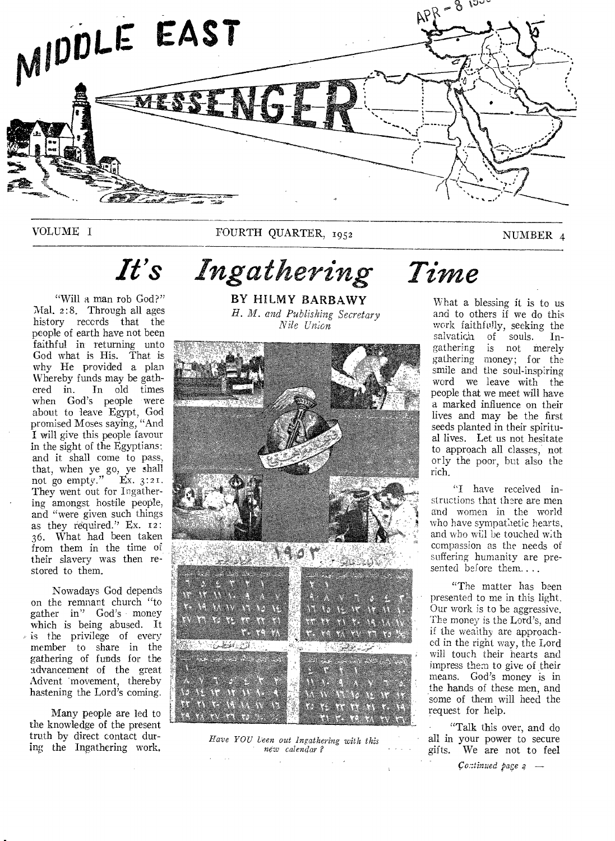

VOLUME I FOURTH QUARTER, 1952 NUMBER 4

# *It's Ingathering Time*

"Will a man rob God?" Mal. 2:8. Through all ages history reccrds that the people of earth have not been faithful in returning unto God what is His. That is why He provided a plan Whereby funds may be gathered in. In old times when God's people were about to leave Egypt, God promised Moses saying, "And I will give this people favour in the sight of the Egyptians: and it shall come to pass, that, when ye go, ye shall not go empty." Ex.  $3:21$ . They went out for Ingathering amongst hostile people, and "were given such things as they required." Ex. 12: 36. What had been taken from them in the time of their slavery was then restored to them.

Nowadays God depends on the remnant church "to gather in" God's money which is being abused. It  $\triangleright$  is the privilege of every member to share in the gathering of funds for the advancement of the great Advent movement, thereby hastening the Lord's coming.

Many people are led to the knowledge of the present truth by direct contact during the Ingathering work,

BY HILMY BARBAWY *H. M. and Publishing Secretary Nile Union* 



*Have YOU Veen out Ingathering with this new calendar ?* 

What a blessing it is to us and to others if we do this work faithfully, seeking the salvatida of souls. Ingathering is not merely gathering money; for the smile and the soul-inspiring word we leave with the people that we meet will have a marked influence on their lives and may be the first seeds planted in their spiritual lives. Let us not hesitate to approach all classes, not or ly the poor, but also the rich.

"I have received instructions that there are men and women in the world who have sympathetic hearts, and who will be touched with compassion as the needs of suffering humanity are presented before them....

"The matter has been presented to me in this light. Our work is to be aggressive. The money is the Lord's, and if the wealthy are approached in the right way, the Lord will touch their hearts and impress them to give of their means. God's money is in the hands of these men, and some of them will heed the request for help.

"Talk this over, and do all in your power to secure gifts. We are not to feel

*co;:tinued page*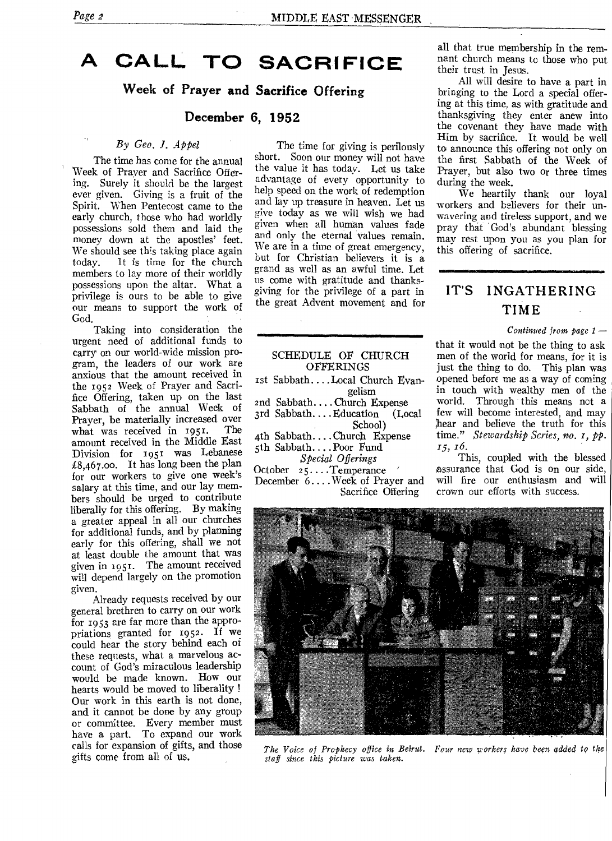## **A CALL TO SACRIFICE**

**Week of Prayer and Sacrifice Offering** 

#### **December 6, 1952**

#### By Geo. *J. Appel*

The time has come for the annual Week of Prayer and Sacrifice Offering. Surely it should be the largest ever given. Giving is a fruit of the Spirit. When Pentecost came to the early church, those who had worldly possessions sold them and laid the money down at the apostles' feet. We should see th's taking place again today. it is time for the church members to lay more of their worldly possessions upon the altar. What a privilege is ours to be able to give our means to support the work of God.

Taking into consideration the urgent need of additional funds to carry on our world-wide mission program, the leaders of our work are anxious that the amount received in the 1952 Week of Prayer and Sacrifice Offering, taken up on the last Sabbath of the annual Week of Prayer, be materially increased over<br>what was received in 1951. The what was received in 1951. amount received in the Middle East Division for 1951 was Lebanese £8,467.00. It has long been the plan for our workers to give one week's salary at this time, and our lay members should be urged to contribute liberally for this offering. By making a greater appeal in all our churches for additional funds, and by planning early for this offering, shall we not at least double the amount that was given in 1951. The amount received will depend largely on the promotion given.

Already requests received by our general brethren to carry on our work for 1953 are far more than the appropriations granted for 1952. If we could hear the story behind each of these requests, what a marvelous account of God's miraculous leadership would be made known. How our hearts would be moved to liberality ! Our work in this earth is not done, and it cannot be done by any group or committee. Every member must have a part. To expand our work calls for expansion of gifts, and those gifts come from all of us.

The time for giving is perilously short. Soon our money will not have the value it has today. Let us take advantage of every opportunity to help speed on the work of redemption and lay up treasure in heaven. Let us give today as we will wish we had given when all human values fade and only the eternal values remain We are in a time of great emergency, but for Christian believers it is a grand as well as an awful time. Let us come with gratitude and thanksgiving for the privilege of a part in the great Advent movement and for

| SCHEDULE OF CHURCH            |  |  |  |
|-------------------------------|--|--|--|
| <b>OFFERINGS</b>              |  |  |  |
| 1st SabbathLocal Church Evan- |  |  |  |
| gelism                        |  |  |  |
| 2nd SabbathChurch Expense     |  |  |  |
| 3rd SabbathEducation (Local   |  |  |  |
| School)                       |  |  |  |
| 4th SabbathChurch Expense     |  |  |  |
| 5th SabbathPoor Fund          |  |  |  |
| Special Offerings             |  |  |  |
| October 25Temperance          |  |  |  |
| December 6Week of Prayer and  |  |  |  |
| Sacrifice Offering            |  |  |  |

all that true membership in the remnant church means to those who put their trust in Jesus.

All will desire to have a part in bringing to the Lord a special offering at this time, as with gratitude and thanksgiving they enter anew into the covenant they have made with Him by sacrifice. It would be well to announce this offering not only on the first Sabbath of the Week of Prayer, but also two or three times during the week.

We heartily thank our loyal workers and believers for their unwavering and tireless support, and we pray that God's abundant blessing may rest upon you as you plan for this offering of sacrifice.

## **IT'S INGATHERING TIME**

#### *Continued from page 1* —

that it would not be the thing to ask men of the world for means, for it is just the thing to do. This plan was opened before me as a way of coming in touch with wealthy men of the world. Through this means not a few will become interested, and may hear and believe the truth for this time." *Stewardship Series, no. i, pp.*  15, 16.

This, coupled with the blessed assurance that God is on our side, will fire our enthusiasm and will crown our efforts with success.



*The Voice of Prophecy office in Beirut. Pour new workers have been added to the sta f since this picture was taken.*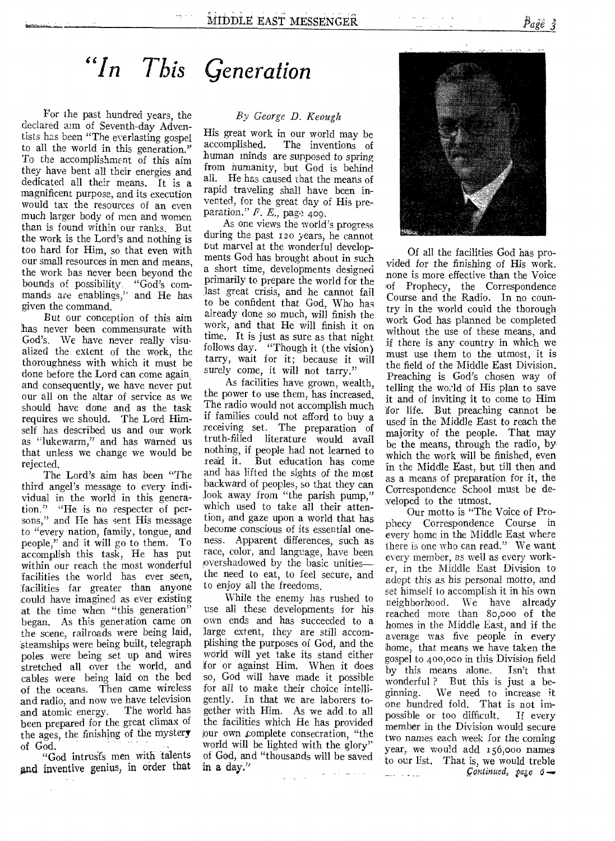## *"In This Generation*

For the past hundred years, the declared aim of Seventh-day Adventists has been "The everlasting gospel to all the world in this generation." To the accomplishment of this aim they have bent all their energies and dedicated all their means. It is a magnificent purpose, and its execution would tax the resources of an even much larger body of men and women than is found within our ranks. But the work is the Lord's and nothing is too hard for Him, so that even with our small resources in men and means, the work bas never been beyond the bounds of possibility. "God's commands are enablings," and He has given the command.

But our conception of this aim has never been commensurate with God's. We have never really visualized the extent of the work, the thoroughness with which it must be done before the Lord can come again, and consequently, we have never put our all on the altar of service as we should have done and as the task requires we should. The Lord Himself has described us and our work as "lukewarm," and has warned us that unless we change we would be rejected.

The Lord's aim has been "The third angel's message to every individual in the world in this generation." "He is no respecter of persons," and He has sent His message to "every nation, family, tongue, and people," and it will go to them. To accomplish this task, He has put within our reach the most wonderful facilities the world has ever seen, facilities far greater than anyone could have imagined as ever existing at the time when "this generation" began. As this generation came on the scene, railroads were being laid, steamships were being built, telegraph poles were being set up and wires stretched all over the world, and cables were being laid on the bed of the oceans. Then came wireless and radio, and now we have television<br>and atomic energy. The world has and atomic energy. been prepared for the great climax of the ages, the finishing of the mystery of God.

"God intrusfs men with talents and inventive genius, in order that

#### *By George D. Keough*

His great work in our world may be accomplished. The inventions of human minds are supposed to spring from humanity, but God is behind all. He has caused that the means of rapid traveling shall have been invented, for the great day of His preparation." *E. E.,* page 409.

As one views the world's progress during the past 120 years, he cannot but marvel at the wonderful developments God has brought about in such a short time, developments designed primarily to prepare the world for the last great crisis, and he cannot fail to be confident that God, Who has already done so much, will finish the work, and that He will finish it on time. It is just as sure as that night follows day. "Though it (the vision) tarry, wait for it; because it will *surely* come, it will not tarry."

As facilities have grown, wealth, the power to use them, has increased. The radio would not accomplish much if families could not afford to buy a receiving set. The preparation of truth-filled literature would avail nothing, if people had not learned to read it. But education has come and has lifted the sights of the most backward of peoples, so that they can look away from "the parish pump," which used to take all their attention, and gaze upon a world that has become conscious of its essential oneness. Apparent differences, such as race, color, and language, have been !overshadowed by the basic unities the need to eat, to feel secure, and to enjoy all the freedoms.

While the enemy has rushed to use all these developments for his own ends and has succeeded to a large extent, they are still accomplishing the purposes of God, and the world will yet take its stand either ;for or against Him. When it does so, God will have made it possible for all to make their choice intelligently. In that we are laborers together with Him. As we add to all the facilities which He has provided iour own complete consecration, "the world will be lighted with the glory" of God, and "thousands will be saved in a day."



Of all the facilities God has provided for the finishing of His work. none is more effective than the Voice of Prophecy, the Correspondence Course and the Radio. In no country in the world could the thorough work God has planned be completed without the use of these means, and if there is any country in which we must use them to the utmost, it is the field of the Middle East Division. Preaching is God's chosen way of telling the wo;'ld of His plan to save it and of inviting it to come to Him for life. But preaching cannot be used in the Middle East to reach the majority of the people. That may be the means, through the radio, by which the work will be finished, even in the Middle East, but till then and as a means of preparation for it, the Correspondence School must be developed to the utmost.

Our motto is "The Voice of Prophecy Correspondence Course in every home in the Middle East where there is one who can read." We want every member, as well as every worker, in the Middle East Division to adopt this as his personal motto, and set himself to accomplish it in his own neighborhood. We have already reached more than 8o,000 of the homes in the Middle East, and if the average was five people in every home, that means we have taken the gospel to 400,000 in this Division field by this means alone. Isn't that wonderful ? But this is just a be-<br>ginning. We need to increase it We need to increase it one hundred fold. That is not im-<br>possible or too difficult. If every possible or too difficult. member in the Division would secure two names each week for the coming year, we would add 156,000 names to our list, That is, we would treble *\_continued, page* service and service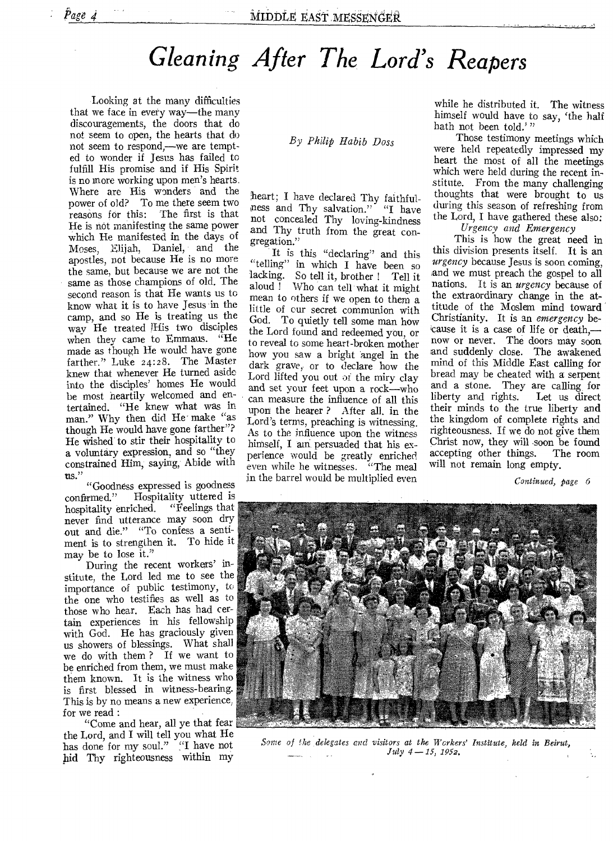## *Gleaning After The Lord's Reapers*

Looking at the many difficulties that we face in every way—the many discouragements, the doors that do not seem to open, the hearts that do not seem to respond,—we are tempted to wonder if Jesus has failed to fulfill His promise and if His Spirit is no more working upon men's hearts. Where are His wonders and the power of old? To me there seem two reasons for this: The first is that He is not manifesting the same power which He manifested in the days of Moses, Elijah, Daniel, and the apostles, not because He is no more the same, but because we are not the same as those champions of old. The second reason is that He wants us to know what it is to have Jesus in the camp, and so He is treating us the way He treated )His two disciples when they came to Emmaus. "He made as though He would have gone farther." Luke 24:28. The Master knew that whenever He turned aside into the disciples' homes He would be most heartily welcomed and entertained. "He knew what was in man." Why then did He make "as though He would have gone farther"? He wished to stir their hospitality to a voluntary expression, and so "they constrained Him, saying, Abide with us."

"Goodness expressed is goodness<br>confirmed." Hospitality uttered is Hospitality uttered is<br>iched. "Feelings that hospitality enriched. never find utterance may soon dry out and die." "To confess a sentiment is to strengthen it. To hide it may be to lose it."

During the recent workers' institute, the Lord led me to see the importance of public testimony, to the one who testifies as well as to those who hear. Each has had certain experiences in his fellowship with God. He has graciously given us showers of blessings. What shall we do with them ? If we want to be enriched from them, we must make them known. It is the witness who is first blessed in witness-bearing. This is by no means a new experience, for we read :

"Come and hear, all ye that fear the Lord, and I will tell you what He has done for my soul." "I have not hid Thy righteousness within my

*By Philip Habib Doss* 

heart; I have declared Thy faithfulness and Thy salvation." "I have not concealed Thy loving-kindness and Thy truth from the great congregation."

It is this "declaring" and this "telling" in which I have been so lacking. So tell it, brother ! Tell it aloud ! Who can tell what it might mean to others if we open to them a little of our secret communion with God. To quietly tell some man how the Lord found and redeemed ybu, or to reveal to some heart-broken mother how you saw a bright angel in the dark grave, or to declare how the Lord lifted you out of the miry clay and set your feet upon a rock—who can measure the influence of all this upon the hearer ? After all, in the Lord's terms, preaching is witnessing. As to the influence upon the witness himself, I am persuaded that his experience would be greatly enriched even while he witnesses. "The meal in the barrel would be multiplied even

while he distributed it. The witness himself would have to say, 'the half hath not been told.'"

Those testimony meetings which were held repeatedly impressed my heart the most of all the meetings which were held during the recent institute. From the many challenging thoughts that were brought to us during this season of refreshing from the Lord, I have gathered these also:

*Urgency and Emergency* 

This is how the great need in this division presents itself. It is an *urgency* because Jesus is soon coming, and we must preach the gospel to all nations. It is an *urgency* because of the extraordinary change in the attitude of the Moslem mind toward Christianity. It is an *emergency* because it is a case of life or death, now or never. The doors may soon and suddenly close. The awakened mind of this Middle East calling for bread may be cheated with a serpent and a stone. They are calling for<br>liberty and rights. Let us direct liberty and rights. their minds to the true liberty and the kingdom of complete rights and righteousness. If we do not give them Christ now, they will soon be found accepting other things. The room will not remain long empty.

*Continued, page 6* 



*Some of the delegates and visitors at the Workers' Institute, held in Beirut, July 4 —15, 195a.*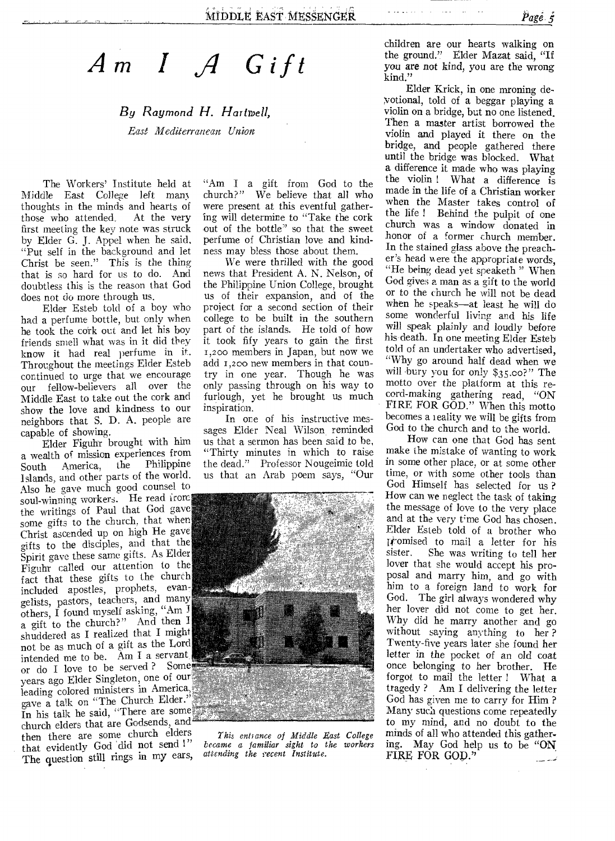*I Gift* 

## *By Raymond H. Hartwell, past Mediterranean Union*

The Workers' Institute held at Middle East College left mans thoughts in the minds and hearts of<br>those who attended. At the very those who attended, first meeting the key note was struck by Elder G. J. Appel when he said, "Put self in the background and let Christ be seen." This is the thing that is so hard for us to do. And doubtless this is the reason that God does not do more through us.

Elder Esteb told of a boy who had a perfume bottle, but only when he took the cork out and let his boy friends smell what was in it did they know it had real perfume in it. Throughout the meetings Elder Esteb continued to urge that we encourage our fellow-believers all over the Middle East to take out the cork and show the love and kindness to our neighbors that S. D. A. people are capable of showing.

Elder Figuhr brought with him a wealth of mission experiences from<br>South America, the Philippine South America, the Philippine Islands, and other parts of the world. Also he gave much good counsel to soul-winning workers. He read iron the writings of Paul that God gave some gifts to the church, that when Christ ascended up on high He gave gifts to the disciples, and that the Spirit gave these same gifts. As Elder Figuhr called our attention to the fact that these gifts to the church included apostles, prophets, evangelists, pastors, teachers, and many others, I found myself asking, "Am  $\frac{1}{2}$ a gift to the church?" And then I shuddered as I realized that I might not be as much of a gift as the Lord intended me to be. Am I a servant, or do I love to be served ? Some. years ago Elder Singleton, one of our leading colored ministers in America, gave a talk on "The Church Elder."

In his talk he said, "There are some church elders that are Godsends, and  $\epsilon$ <br>then there are some church elders then there are some church elders<br>that evidently God did not send !" The question still rings in my ears,

"Am I a gift from God to the church?" We believe that all who were present at this eventful gathering will determine to "Take the cork out of the bottle" so that the sweet perfume of Christian love and kindness may bless those about them.

We were thrilled with the good news that President A. N. Nelson, of the Philippine Union College, brought us of their expansion, and of the project for a second section of their college to be built in the southern part of the islands. He told of how it took fify years to gain the first 1,200 members in Japan, but now we add 1,200 new members in that country in one year. Though he was only passing through on his way to furlough, yet he brought us much inspiration.

In one of his instructive messages Elder Neal Wilson reminded us that a sermon has been said to be, "Thirty minutes in which to raise the dead." Professor Nougeimie told us that an Arab poem says, "Our



*This enhance of Middle Last College became a familiar sight to the workers attending the recent Institute.* 

children are our hearts walking on the ground." Elder Mazat said, "If you are not kind, you are the wrong kind."

Elder Krick, in one mroning devotional, told of a beggar playing a violin on a bridge, but no one listened, Then a master artist borrowed the violin and played it there on the bridge, and people gathered there until the bridge was blocked. What a difference it made who was playing the violin ! What a difference is made in the life of a Christian worker when the Master takes control of the life ! Behind the pulpit of one church was a window donated in honor of a former church member. In the stained glass above the preacher's head were the appropriate words, "He being dead yet speaketh " When God gives a man as a gift to the world or to the church he will not be dead when he speaks—at least he will do some wonderful living and his life will speak plainly and loudly before his death. In one meeting Elder Esteb told of an undertaker who advertised, "Why go around half dead when we will bury you for only \$35.00?" The motto over the platform at this record-making gathering read, "ON FIRE FOR GOD." When this motto becomes a reality we will be gifts from God to the church and to the world.

How can one that God has sent make the mistake of wanting to work in some other place, or at some other time, or with some other tools than God Himself has selected for us ? How can we neglect the task of taking the message of love to the very place and at the very time God has chosen. Elder Esteb told of a brother who  $[$ the mail a letter for his sister. She was writing to tell her She was writing to tell her lover that she would accept his proposal and marry him, and go with him to a foreign land to work for God. The girl always wondered why her lover did not come to get her. Why did he marry another and go without saying anything to her ? Twenty-five years later she found her letter in the pocket of an old coat once belonging to her brother. He forgot to mail the letter ! What a tragedy ? Am I delivering the letter God has given me to carry for Him ? Many such questions come repeatedly to my mind, and no doubt to the minds of all who attended this gathering. May God help us to be "ON" FIRE FOR GOD." مسائل سندرد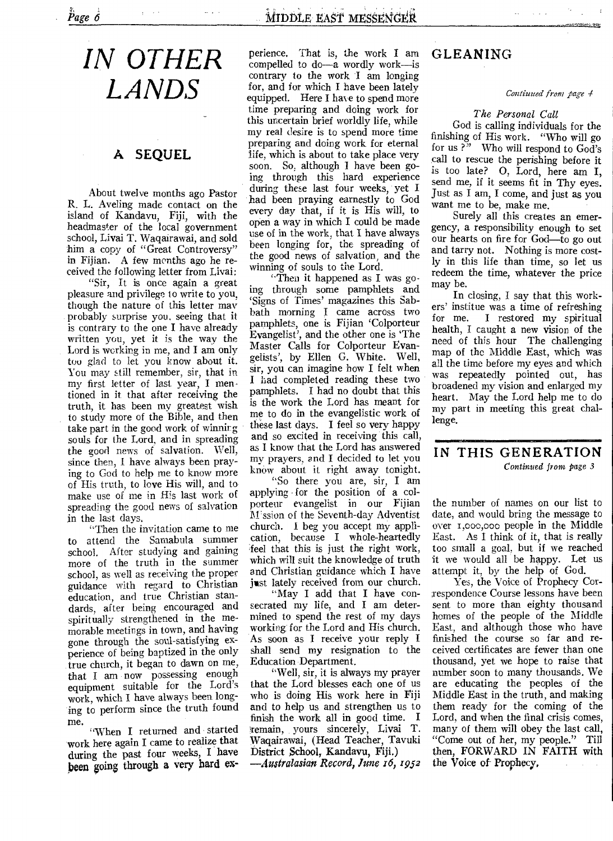## *IN OTHER LANDS*

### A SEQUEL

About twelve months ago Pastor R. L. Aveling made contact on the island of Kandavu, Fiji, with the headmaster of the local government school, Livai T. Waqairawai, and sold him a copy of "Great Controversy" in Fijian. A few months ago he received the following letter from Livai:

"Sir, It is once again a great pleasure and privilege to write to you, though the nature of this letter may probably surprise you, seeing that it is contrary to the one I have already written you, yet it is the way the Lord is working in me, and I am only too glad to let you know about it. You may still remember, sir, that in my first letter of last year, I mentioned in it that after receiving the truth, it has been my greatest wish to study more of the Bible, and then take part in the good work of winning souls for the Lord, and in spreading the good news of salvation. Well, since then, I have always been praying to God to help me to know more of His truth, to love His will, and to make use of me in His last work of spreading the good news of salvation in the last days.

"Then the invitation came to me to attend the Samabula summer school. After studying and gaining more of the truth in the summer school, as well as receiving the proper guidance with regard to Christian education, and true Christian standards, after being encouraged and spiritually strengthened in the memorable meetings in town, and having gone through the soul-satisfying experience of being baptized in the only true church, it began to dawn on me, that I am now possessing enough equipment suitable for the Lord's work, which I have always been longing to perform since the truth found me.

"When I returned and started work here again I came to realize that during the past four weeks, I have been going through a very hard experience. That is, the work I am compelled to do--a wordly work—is contrary to the work I am longing for, and for which I have been lately equipped. Here I hare to spend more time preparing and doing work for this uncertain brief worldly life, while my real desire is to spend more time preparing and doing work for eternal life, which is about to take place very soon. So, although I have been going through this hard experience during these last four weeks, yet I had been praying earnestly to God every day that, if it is His will, to open a way in which I could be made use of in the work, that I have always been longing for, the spreading of the good news of salvation, and the winning of souls to the Lord.

"Then it happened as I was going through some pamphlets and `Signs of Times' magazines this Sabbath morning I came across two pamphlets, one is Fijian 'Colporteur Evangelist', and the other one is 'The Master Calls for Colporteur Evangelists', by Ellen G. White. Well, sir, you can imagine how I felt when I had completed reading these two pamphlets. I had no doubt that this is the work the Lord has meant for me to do in the evangelistic work of these last days. I feel so very happy and so excited in receiving this call, as I know that the Lord has answered my prayers, and I decided to let you know about it right away tonight.

"So there you are, sir, I am applying for the position of a colporteur evangelist in our Fijian M'ssion of the Seventh-day Adventist church. I beg you accept my application, because I whole-heartedly feel that this is just the right work, which will suit the knowledge of truth and Christian guidance which I have just lately received from our church.

"May I add that I have consecrated my life, and I am determined to spend the rest of my days working for the Lord and His church. As soon as I receive your reply I shall send my resignation to the Education Department.

"Well, sir, it is always my prayer that the Lord blesses each one of us who is doing His work here in Fiji and to help us and strengthen us to finish the work all in good time. I !remain, yours sincerely, Livai T. Waqairawai, (Head Teacher, Tavuki District School, Kandavu, Fiji.) *—Australasian Record, June 16, 1952* 

## GLEANING

#### Contiuued from page 4

#### *The Personal Call*

God is calling individuals for the finishing of His work. "Who will go<br>for us?" Who will respond to God's Who will respond to God's call to rescue the perishing before it is too late? 0, Lord, here am I, send me, if it seems fit in Thy eyes. Just as I am, I come, and just as you want me to be, make me.

Surely all this creates an emergency, a responsibility enough to set our hearts on fire for God—to go out and tarry not. Nothing is more costly in this life than time, so let us redeem the time, whatever the price may be.

In closing, I say that this workers' institue was a time of refreshing<br>for me. I restored my spiritual I restored my spiritual health, I caught a new vision of the need of this hour The challenging map of the Middle East, which was all the time before my eyes and which was repeatedly pointed out, has broadened my vision and enlarged my heart. May the Lord help me to do my part in meeting this great challenge.

### IN THIS GENERATION

*Continued front page 3* 

the number of names on our list to date, and would bring the message to over 1,000,000 people in the Middle East. As I think of it, that is really too small a goal, but if we reached it we would all be happy. Let us attempt it, by the help of God.

Yes, the Voice of Prophecy Cornespondence Course lessons have been sent to more than eighty thousand homes of the people of the Middle East, and although those who have finished the course so far and received certificates are fewer than one thousand, yet we hope to raise that number soon to many thousands. We are educating the peoples of the Middle East in the truth, and making them ready for the coming of the Lord, and when the final crisis comes, many of them will obey the last call, "Come out of her, my people." Till then, FORWARD IN FAITH with the Voice of Prophecy.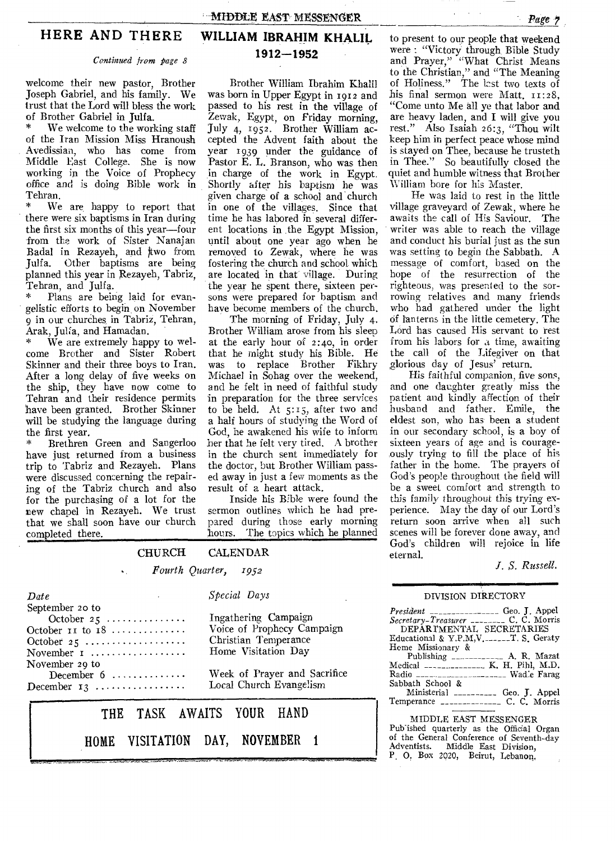#### **HERE AND THERE**

#### *Continued from page 8*

welcome their new pastor, Brother Joseph Gabriel, and his family. We trust that the Lord will bless the work of Brother Gabriel in Julfa.

We welcome to the working staff of the Iran Mission Miss Hranoush Avedissian, who has come from Middle East College. She is now working in the Voice of Prophecy *office* and is doing Bible work in Tehran.<br>\* We

We are, happy to report that there were six baptisms in Iran during the first six months of this year—four from the work of Sister Nanajan Badal in Rezayeh, and two from Julia. Other baptisms are being planned this year in Rezayeh, Tabriz, Tehran, and Julfa.

Plans are being laid for evangelistic efforts to begin on November 9 in our churches in Tabriz, Tehran, Arak, Julfa, and Hamadan.

We are extremely happy to welcome Brother and Sister Robert Skinner and their three boys to Iran. After a long delay of five weeks on the ship, they have now come to Tehran and their residence permits have been granted. Brother Skinner will be studying the language during the first year.

\* Brethren Green and Sangerloo have just returned from a business trip to Tabriz and Rezayeh. Plans were discussed concerning the repairing of the Tabriz church and also for the purchasing of a lot for the new chapel in Rezayeh. We trust that we shall soon have our church completed there.

HOME

*Date* 

### **WILLIAM IBRAHIM KHALIL 1912-1952**

Brother William Ibrahim Khalil was born in Upper Egypt in 1912 and passed to his rest in the village of Zewak, Egypt, on Friday morning, July 4, 1952. Brother William accepted the Advent faith about the year 1939 under the guidance of Pastor E. L. Branson, who was then in charge of the work in Egypt. Shortly after his baptism he was given charge of a school and church in one of the villages. Since that time he has labored in several different locations in .the Egypt Mission, until about one year ago when he removed to Zewak, where he was fostering the church and school. which are located in that village. During the year he spent there, sixteen persons were prepared for baptism and have become members of the church.

The morning of Friday, July 4, Brother William arose from his sleep at the early hour of 2:4o, in order that he might study his Bible. He was to replace Brother Fikhry Michael in Sohag over the weekend, and he felt in need of faithful study in preparation for the three services to be held. At 5:15, after two and a half hours of studying the Word of God, he awakened his wife to inform her that he felt very tired. A brother in the church sent immediately for the doctor, but Brother William passed away in just a few moments as the result of a heart attack.

Inside his Bible were found the sermon outlines which he had prepared during those early morning hours. The topics which he planned

to present to our people that weekend were : "Victory through Bible Study and Prayer," "What Christ Means to the Christian," and "The Meaning of Holiness." The last two texts of his final sermon were Matt.  $11:28$ . "Come unto Me all ye that labor and are heavy laden, and I will give you rest." Also Isaiah 26:3, "Thou wilt keep him in perfect peace whose mind is stayed on Thee, because he trusteth in Thee." So beautifully closed the quiet and humble witness that Brother William bore for his Master.

He was laid to rest in the little village graveyard of Zewak, where he awaits the call of His Saviour. The writer was able to reach the village and conduct his burial just as the sun was setting to begin the Sabbath. A message of comfort, based on the hope of the resurrection of the righteous, was presented to the sorrowing relatives and many friends who had gathered under the light Of lanterns in the little cemetery. The Lord has caused His servant to rest from his labors for a time, awaiting the call of the Lifegiver on that glorious day of Jesus' return.

His faithful companion, five *sons,*  and one daughter greatly miss the patient and kindly affection of their husband and father. Emile, the eldest son, who has been a student in our secondary school, is a boy of sixteen years of age and is courageously trying to fill the place of his father in the home. The prayers of God's people throughout the field will be a sweet comfort and strength to this family throughout this trying experience. May the day of our Lord's return soon arrive when all such scenes will be forever done away, and God's children will rejoice in life eternal.

*J. S. Russell.* 

#### DIVISION DIRECTORY

| September 20 to<br>$October 25  \dots $<br>October $11$ to $18$<br>October 25<br>November $1$ | Ingathering Campaign<br>Voice of Prophecy Campaign<br>Christian Temperance<br>Home Visitation Day | $President$ ________________ Geo. J. Appel<br>Secretary-Treasurer _________ C. C. Morris<br>DEPARTMENTAL SECRETARIES<br>Heme Missionary &<br>Publishing ______________ A. R. Mazat |
|-----------------------------------------------------------------------------------------------|---------------------------------------------------------------------------------------------------|------------------------------------------------------------------------------------------------------------------------------------------------------------------------------------|
| November 29 to<br>December $6 \ldots \ldots \ldots \ldots$<br>December $13$                   | Week of Prayer and Sacrifice<br>Local Church Evangelism                                           | Medical $-- K$ , H, Pihl, M.D.<br>Radio $\frac{1}{2}$<br>Sabbath School &<br>Ministerial ___________ Geo. J. Appel                                                                 |
|                                                                                               | THE TASK AWAITS YOUR HAND                                                                         | MIDDLE EAST MESSENGER                                                                                                                                                              |

VISITATION DAY, NOVEMBER I

*Special Days* 

CHURCH CALENDAR *Fourth Quarter, 1952* 

> DLE EAST MESSENGER Pub-ished quarterly as the Official Organ of the General Conference of Seventh-day Adventists. Middle East Division, P. 0. Box 2020, Beirut, Lebanon,